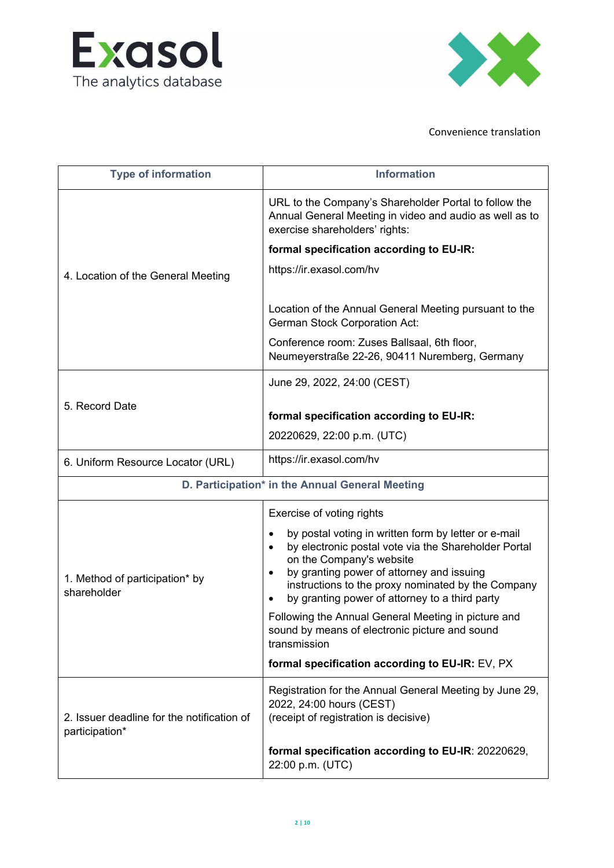



| <b>Type of information</b>                                   | <b>Information</b>                                                                                                                                                                                                                                                                                                                                |
|--------------------------------------------------------------|---------------------------------------------------------------------------------------------------------------------------------------------------------------------------------------------------------------------------------------------------------------------------------------------------------------------------------------------------|
| 4. Location of the General Meeting                           | URL to the Company's Shareholder Portal to follow the<br>Annual General Meeting in video and audio as well as to<br>exercise shareholders' rights:                                                                                                                                                                                                |
|                                                              | formal specification according to EU-IR:                                                                                                                                                                                                                                                                                                          |
|                                                              | https://ir.exasol.com/hv                                                                                                                                                                                                                                                                                                                          |
|                                                              | Location of the Annual General Meeting pursuant to the<br><b>German Stock Corporation Act:</b>                                                                                                                                                                                                                                                    |
|                                                              | Conference room: Zuses Ballsaal, 6th floor,<br>Neumeyerstraße 22-26, 90411 Nuremberg, Germany                                                                                                                                                                                                                                                     |
|                                                              | June 29, 2022, 24:00 (CEST)                                                                                                                                                                                                                                                                                                                       |
| 5. Record Date                                               | formal specification according to EU-IR:                                                                                                                                                                                                                                                                                                          |
|                                                              | 20220629, 22:00 p.m. (UTC)                                                                                                                                                                                                                                                                                                                        |
|                                                              |                                                                                                                                                                                                                                                                                                                                                   |
| 6. Uniform Resource Locator (URL)                            | https://ir.exasol.com/hv                                                                                                                                                                                                                                                                                                                          |
|                                                              | D. Participation* in the Annual General Meeting                                                                                                                                                                                                                                                                                                   |
|                                                              | Exercise of voting rights                                                                                                                                                                                                                                                                                                                         |
| 1. Method of participation* by<br>shareholder                | by postal voting in written form by letter or e-mail<br>$\bullet$<br>by electronic postal vote via the Shareholder Portal<br>$\bullet$<br>on the Company's website<br>by granting power of attorney and issuing<br>$\bullet$<br>instructions to the proxy nominated by the Company<br>by granting power of attorney to a third party<br>$\bullet$ |
|                                                              | Following the Annual General Meeting in picture and<br>sound by means of electronic picture and sound<br>transmission                                                                                                                                                                                                                             |
|                                                              | formal specification according to EU-IR: EV, PX                                                                                                                                                                                                                                                                                                   |
| 2. Issuer deadline for the notification of<br>participation* | Registration for the Annual General Meeting by June 29,<br>2022, 24:00 hours (CEST)<br>(receipt of registration is decisive)                                                                                                                                                                                                                      |
|                                                              | formal specification according to EU-IR: 20220629,<br>22:00 p.m. (UTC)                                                                                                                                                                                                                                                                            |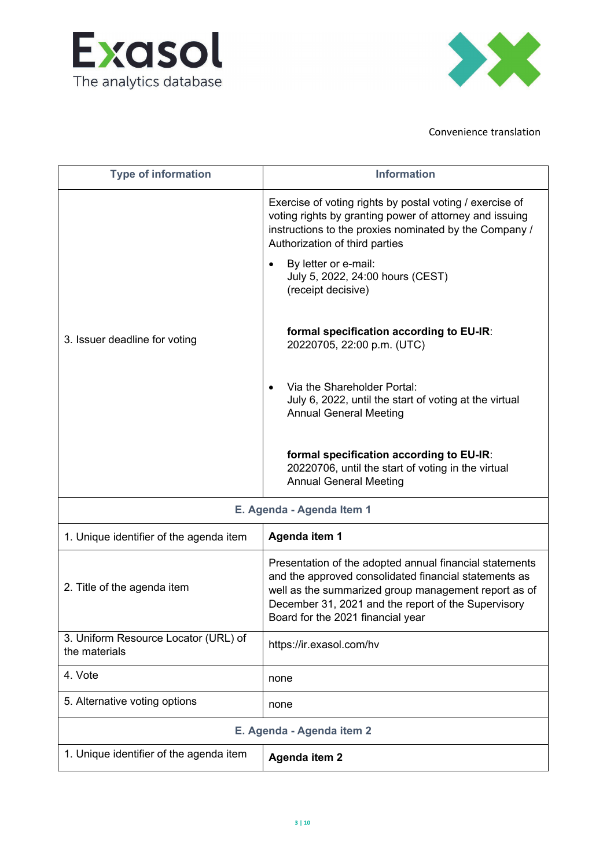



| <b>Type of information</b>                            | <b>Information</b>                                                                                                                                                                                                                                                                                |
|-------------------------------------------------------|---------------------------------------------------------------------------------------------------------------------------------------------------------------------------------------------------------------------------------------------------------------------------------------------------|
| 3. Issuer deadline for voting                         | Exercise of voting rights by postal voting / exercise of<br>voting rights by granting power of attorney and issuing<br>instructions to the proxies nominated by the Company /<br>Authorization of third parties<br>By letter or e-mail:<br>July 5, 2022, 24:00 hours (CEST)<br>(receipt decisive) |
|                                                       | formal specification according to EU-IR:<br>20220705, 22:00 p.m. (UTC)                                                                                                                                                                                                                            |
|                                                       | Via the Shareholder Portal:<br>July 6, 2022, until the start of voting at the virtual<br><b>Annual General Meeting</b>                                                                                                                                                                            |
|                                                       | formal specification according to EU-IR:<br>20220706, until the start of voting in the virtual<br><b>Annual General Meeting</b>                                                                                                                                                                   |
| E. Agenda - Agenda Item 1                             |                                                                                                                                                                                                                                                                                                   |
| 1. Unique identifier of the agenda item               | Agenda item 1                                                                                                                                                                                                                                                                                     |
| 2. Title of the agenda item                           | Presentation of the adopted annual financial statements<br>and the approved consolidated financial statements as<br>well as the summarized group management report as of<br>December 31, 2021 and the report of the Supervisory<br>Board for the 2021 financial year                              |
| 3. Uniform Resource Locator (URL) of<br>the materials | https://ir.exasol.com/hv                                                                                                                                                                                                                                                                          |
| 4. Vote                                               | none                                                                                                                                                                                                                                                                                              |
| 5. Alternative voting options                         | none                                                                                                                                                                                                                                                                                              |
| E. Agenda - Agenda item 2                             |                                                                                                                                                                                                                                                                                                   |
| 1. Unique identifier of the agenda item               | Agenda item 2                                                                                                                                                                                                                                                                                     |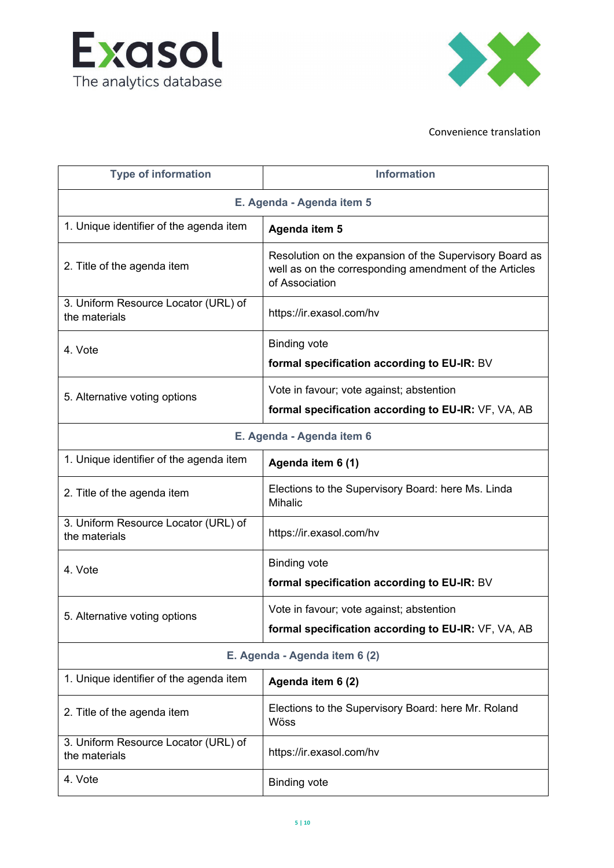



| <b>Type of information</b>                            | <b>Information</b>                                                                                                        |  |
|-------------------------------------------------------|---------------------------------------------------------------------------------------------------------------------------|--|
| E. Agenda - Agenda item 5                             |                                                                                                                           |  |
| 1. Unique identifier of the agenda item               | Agenda item 5                                                                                                             |  |
| 2. Title of the agenda item                           | Resolution on the expansion of the Supervisory Board<br>and the corresponding amendment to the Articles of<br>Association |  |
| 3. Uniform Resource Locator (URL) of<br>the materials | https://ir.exasol.com/hv                                                                                                  |  |
| 4. Vote                                               | <b>Binding vote</b><br>formal specification according to EU-IR: BV                                                        |  |
| 5. Alternative voting options                         | Vote in favour; vote against; abstention<br>formal specification according to EU-IR: VF, VA, AB                           |  |
| E. Agenda - Agenda item 6                             |                                                                                                                           |  |
| 1. Unique identifier of the agenda item               | Agenda item 6 (1)                                                                                                         |  |
| 2. Title of the agenda item                           | Elections to the Supervisory Board: here Ms. Linda<br><b>Mihalic</b>                                                      |  |
| 3. Uniform Resource Locator (URL) of<br>the materials | https://ir.exasol.com/hv                                                                                                  |  |
| 4. Vote                                               | <b>Binding vote</b><br>formal specification according to EU-IR: BV                                                        |  |
| 5. Alternative voting options                         | Vote in favour; vote against; abstention<br>formal specification according to EU-IR: VF, VA, AB                           |  |
|                                                       | E. Agenda - Agenda item 6 (2)                                                                                             |  |
| 1. Unique identifier of the agenda item               | Agenda item 6 (2)                                                                                                         |  |
| 2. Title of the agenda item                           | Elections to the Supervisory Board: here Mr. Roland<br>Wöss                                                               |  |
| 3. Uniform Resource Locator (URL) of<br>the materials | https://ir.exasol.com/hv                                                                                                  |  |
| 4. Vote                                               | <b>Binding vote</b>                                                                                                       |  |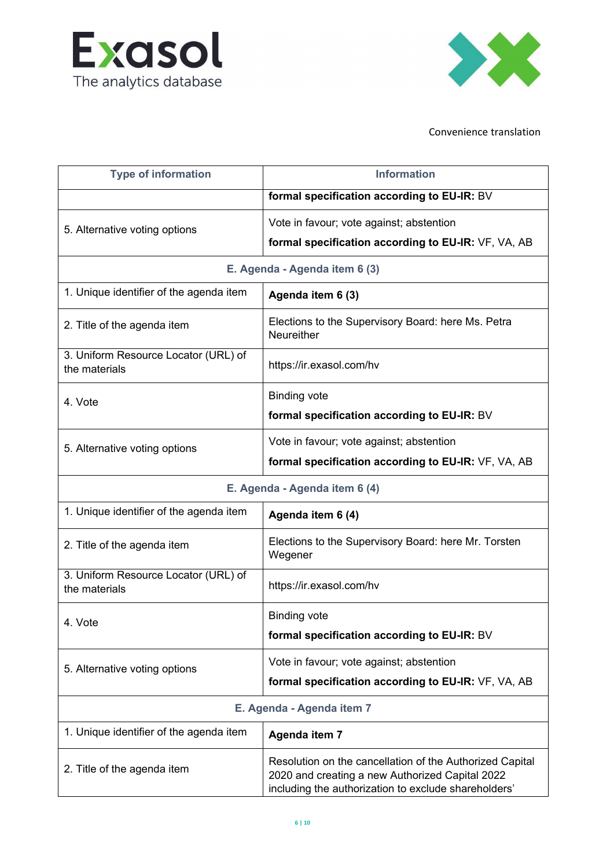



| <b>Type of information</b>                            | <b>Information</b>                                                                                                                                              |
|-------------------------------------------------------|-----------------------------------------------------------------------------------------------------------------------------------------------------------------|
|                                                       | formal specification according to EU-IR: BV                                                                                                                     |
| 5. Alternative voting options                         | Vote in favour; vote against; abstention                                                                                                                        |
|                                                       | formal specification according to EU-IR: VF, VA, AB                                                                                                             |
| E. Agenda - Agenda item 6 (3)                         |                                                                                                                                                                 |
| 1. Unique identifier of the agenda item               | Agenda item 6 (3)                                                                                                                                               |
| 2. Title of the agenda item                           | Elections to the Supervisory Board: here Ms. Petra<br>Neureither                                                                                                |
| 3. Uniform Resource Locator (URL) of<br>the materials | https://ir.exasol.com/hv                                                                                                                                        |
| 4. Vote                                               | <b>Binding vote</b>                                                                                                                                             |
|                                                       | formal specification according to EU-IR: BV                                                                                                                     |
| 5. Alternative voting options                         | Vote in favour; vote against; abstention                                                                                                                        |
|                                                       | formal specification according to EU-IR: VF, VA, AB                                                                                                             |
| E. Agenda - Agenda item 6 (4)                         |                                                                                                                                                                 |
| 1. Unique identifier of the agenda item               | Agenda item 6 (4)                                                                                                                                               |
| 2. Title of the agenda item                           | Elections to the Supervisory Board: here Mr. Torsten<br>Wegener                                                                                                 |
| 3. Uniform Resource Locator (URL) of<br>the materials | https://ir.exasol.com/hv                                                                                                                                        |
| 4. Vote                                               | <b>Binding vote</b>                                                                                                                                             |
|                                                       | formal specification according to EU-IR: BV                                                                                                                     |
| 5. Alternative voting options                         | Vote in favour; vote against; abstention                                                                                                                        |
|                                                       | formal specification according to EU-IR: VF, VA, AB                                                                                                             |
| E. Agenda - Agenda item 7                             |                                                                                                                                                                 |
| 1. Unique identifier of the agenda item               | Agenda item 7                                                                                                                                                   |
| 2. Title of the agenda item                           | Resolution on cancellation of the Authorized Capital<br>2020 and creating a new Authorized Capital 2022<br>including the authorization to exclude shareholders' |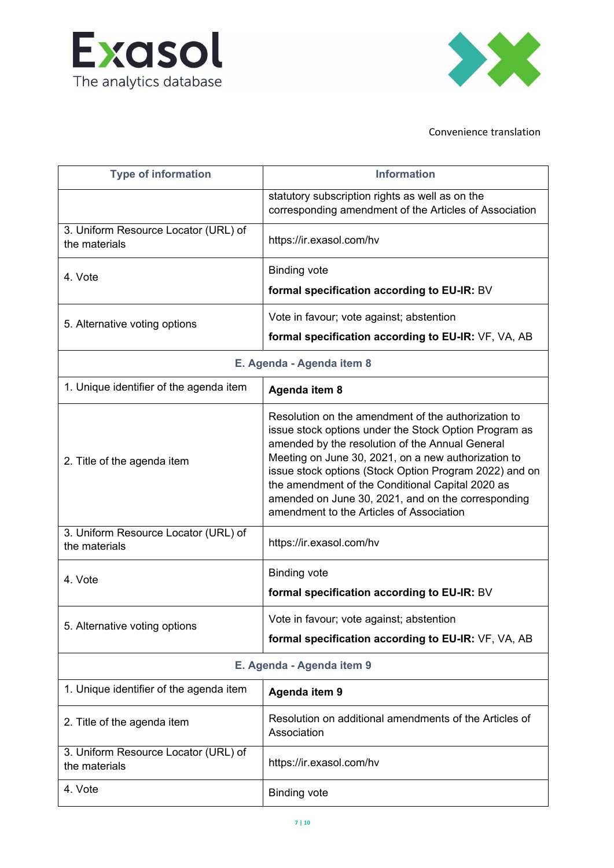



| <b>Type of information</b>                            | <b>Information</b>                                                                                                                                                                                                                                                                                                                                                                                                                     |
|-------------------------------------------------------|----------------------------------------------------------------------------------------------------------------------------------------------------------------------------------------------------------------------------------------------------------------------------------------------------------------------------------------------------------------------------------------------------------------------------------------|
|                                                       | statutory subscription rights, and corresponding<br>amendment to the Articles of Association                                                                                                                                                                                                                                                                                                                                           |
| 3. Uniform Resource Locator (URL) of<br>the materials | https://ir.exasol.com/hv                                                                                                                                                                                                                                                                                                                                                                                                               |
| 4. Vote                                               | <b>Binding vote</b>                                                                                                                                                                                                                                                                                                                                                                                                                    |
|                                                       | formal specification according to EU-IR: BV                                                                                                                                                                                                                                                                                                                                                                                            |
| 5. Alternative voting options                         | Vote in favour; vote against; abstention                                                                                                                                                                                                                                                                                                                                                                                               |
|                                                       | formal specification according to EU-IR: VF, VA, AB                                                                                                                                                                                                                                                                                                                                                                                    |
| E. Agenda - Agenda item 8                             |                                                                                                                                                                                                                                                                                                                                                                                                                                        |
| 1. Unique identifier of the agenda item               | Agenda item 8                                                                                                                                                                                                                                                                                                                                                                                                                          |
| 2. Title of the agenda item                           | Resolution on the amendment of the authorization to<br>issue stock options under the Stock Option Program as<br>amended by the resolution of the Annual General<br>Meeting on June 30, 2021, on a new authorization to<br>issue stock options (Stock Option Program 2022) and on<br>the amendment of the Conditional Capital 2020 as<br>amended on June 30, 2021, and on the corresponding<br>amendment to the Articles of Association |
| 3. Uniform Resource Locator (URL) of<br>the materials | https://ir.exasol.com/hv                                                                                                                                                                                                                                                                                                                                                                                                               |
| 4. Vote                                               | <b>Binding vote</b>                                                                                                                                                                                                                                                                                                                                                                                                                    |
|                                                       | formal specification according to EU-IR: BV                                                                                                                                                                                                                                                                                                                                                                                            |
| 5. Alternative voting options                         | Vote in favour; vote against; abstention                                                                                                                                                                                                                                                                                                                                                                                               |
|                                                       | formal specification according to EU-IR: VF, VA, AB                                                                                                                                                                                                                                                                                                                                                                                    |
| E. Agenda - Agenda item 9                             |                                                                                                                                                                                                                                                                                                                                                                                                                                        |
| 1. Unique identifier of the agenda item               | <b>Agenda item 9</b>                                                                                                                                                                                                                                                                                                                                                                                                                   |
| 2. Title of the agenda item                           | Resolution on additional amendments to the Articles of<br>Association                                                                                                                                                                                                                                                                                                                                                                  |
| 3. Uniform Resource Locator (URL) of<br>the materials | https://ir.exasol.com/hv                                                                                                                                                                                                                                                                                                                                                                                                               |
| 4. Vote                                               | <b>Binding vote</b>                                                                                                                                                                                                                                                                                                                                                                                                                    |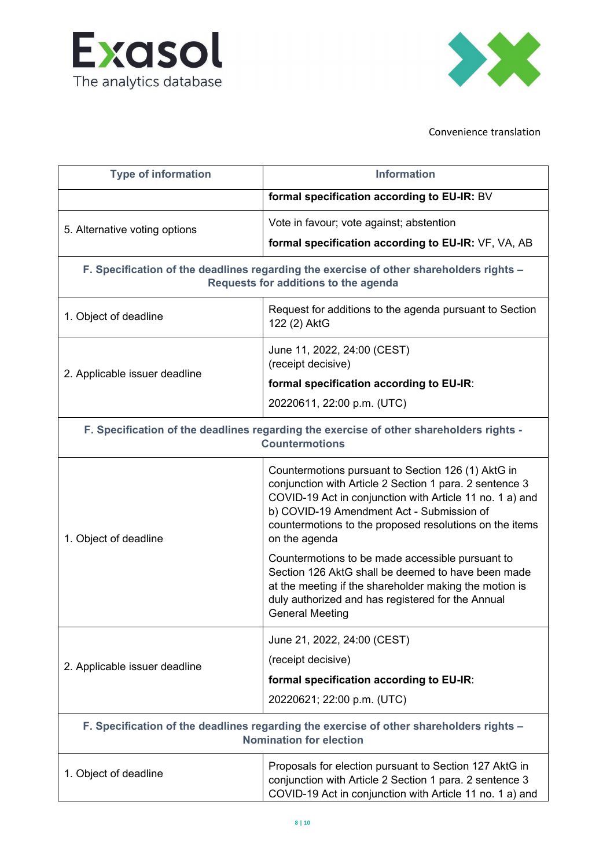



| <b>Type of information</b>                                                                                                      | <b>Information</b>                                                                                                                                                                                                                                                                                 |
|---------------------------------------------------------------------------------------------------------------------------------|----------------------------------------------------------------------------------------------------------------------------------------------------------------------------------------------------------------------------------------------------------------------------------------------------|
|                                                                                                                                 | formal specification according to EU-IR: BV                                                                                                                                                                                                                                                        |
| 5. Alternative voting options                                                                                                   | Vote in favour; vote against; abstention                                                                                                                                                                                                                                                           |
|                                                                                                                                 | formal specification according to EU-IR: VF, VA, AB                                                                                                                                                                                                                                                |
| F. Specification of the deadlines regarding the exercise of other shareholders rights -<br>Requests for additions to the agenda |                                                                                                                                                                                                                                                                                                    |
| 1. Object of deadline                                                                                                           | Request for additions to the agenda pursuant to Section<br>122 (2) AktG                                                                                                                                                                                                                            |
|                                                                                                                                 | June 11, 2022, 24:00 (CEST)<br>(receipt decisive)                                                                                                                                                                                                                                                  |
| 2. Applicable issuer deadline                                                                                                   | formal specification according to EU-IR:                                                                                                                                                                                                                                                           |
|                                                                                                                                 | 20220611, 22:00 p.m. (UTC)                                                                                                                                                                                                                                                                         |
| F. Specification of the deadlines regarding the exercise of other shareholders rights -<br><b>Countermotions</b>                |                                                                                                                                                                                                                                                                                                    |
| 1. Object of deadline                                                                                                           | Countermotions pursuant to Section 126 (1) AktG in<br>conjunction with Article 2 Section 1 para. 2 sentence 3<br>COVID-19 Act in conjunction with Article 11 no. 1 a) and<br>b) COVID-19 Amendment Act - Submission of<br>countermotions to the proposed resolutions on the items<br>on the agenda |
|                                                                                                                                 | Countermotions to be made accessible pursuant to<br>Section 126 AktG shall be deemed to have been made<br>at the meeting if the shareholder making the motion is<br>duly authorized and has registered for the Annual<br><b>General Meeting</b>                                                    |
| 2. Applicable issuer deadline                                                                                                   | June 21, 2022, 24:00 (CEST)                                                                                                                                                                                                                                                                        |
|                                                                                                                                 | (receipt decisive)                                                                                                                                                                                                                                                                                 |
|                                                                                                                                 | formal specification according to EU-IR:                                                                                                                                                                                                                                                           |
|                                                                                                                                 | 20220621; 22:00 p.m. (UTC)                                                                                                                                                                                                                                                                         |
| F. Specification of the deadlines regarding the exercise of other shareholders rights -<br><b>Nomination for election</b>       |                                                                                                                                                                                                                                                                                                    |
| 1. Object of deadline                                                                                                           | Proposals for election pursuant to Section 127 AktG in<br>conjunction with Article 2 Section 1 para. 2 sentence 3<br>COVID-19 Act in conjunction with Article 11 no. 1 a) and                                                                                                                      |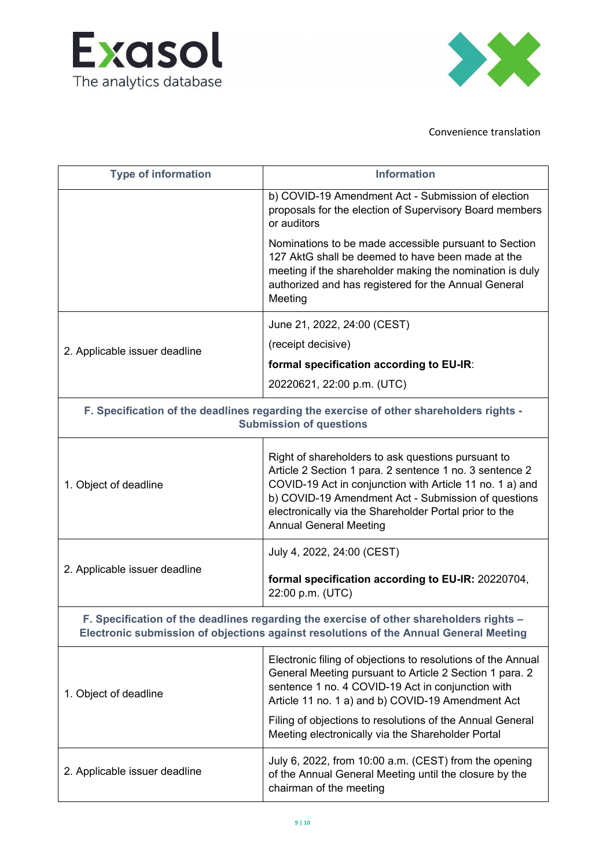



| <b>Type of information</b>                                                                                                                                                       | <b>Information</b>                                                                                                                                                                                                                                                                                                                                  |
|----------------------------------------------------------------------------------------------------------------------------------------------------------------------------------|-----------------------------------------------------------------------------------------------------------------------------------------------------------------------------------------------------------------------------------------------------------------------------------------------------------------------------------------------------|
|                                                                                                                                                                                  | b) COVID-19 Amendment Act - Submission of election<br>proposals for the election of Supervisory Board members<br>or auditors                                                                                                                                                                                                                        |
|                                                                                                                                                                                  | Nominations to be made accessible pursuant to Section<br>127 AktG shall be deemed to have been made at the<br>meeting if the shareholder making the nomination is duly<br>authorized and has registered for the Annual General<br>Meeting                                                                                                           |
|                                                                                                                                                                                  | June 21, 2022, 24:00 (CEST)                                                                                                                                                                                                                                                                                                                         |
| 2. Applicable issuer deadline                                                                                                                                                    | (receipt decisive)                                                                                                                                                                                                                                                                                                                                  |
|                                                                                                                                                                                  | formal specification according to EU-IR:                                                                                                                                                                                                                                                                                                            |
|                                                                                                                                                                                  | 20220621, 22:00 p.m. (UTC)                                                                                                                                                                                                                                                                                                                          |
| F. Specification of the deadlines regarding the exercise of other shareholders rights -<br><b>Submission of questions</b>                                                        |                                                                                                                                                                                                                                                                                                                                                     |
| 1. Object of deadline                                                                                                                                                            | Right of shareholders to ask questions pursuant to<br>Article 2 Section 1 para. 2 sentence 1 no. 3 sentence 2<br>COVID-19 Act in conjunction with Article 11 no. 1 a) and<br>b) COVID-19 Amendment Act - Submission of questions<br>electronically via the Shareholder Portal prior to the<br><b>Annual General Meeting</b>                         |
|                                                                                                                                                                                  | July 4, 2022, 24:00 (CEST)                                                                                                                                                                                                                                                                                                                          |
| 2. Applicable issuer deadline                                                                                                                                                    | formal specification according to EU-IR: 20220704,<br>22:00 p.m. (UTC)                                                                                                                                                                                                                                                                              |
| F. Specification of the deadlines regarding the exercise of other shareholders rights -<br>Electronic submission of objections against resolutions of the Annual General Meeting |                                                                                                                                                                                                                                                                                                                                                     |
| 1. Object of deadline                                                                                                                                                            | Electronic filing of objections to resolutions of the Annual<br>General Meeting pursuant to Article 2 Section 1 para. 2<br>sentence 1 no. 4 COVID-19 Act in conjunction with<br>Article 11 no. 1 a) and b) COVID-19 Amendment Act<br>Filing of objections to resolutions of the Annual General<br>Meeting electronically via the Shareholder Portal |
| 2. Applicable issuer deadline                                                                                                                                                    | July 6, 2022, from 10:00 a.m. (CEST) from the opening<br>of the Annual General Meeting until the closure by the<br>chairman of the meeting                                                                                                                                                                                                          |